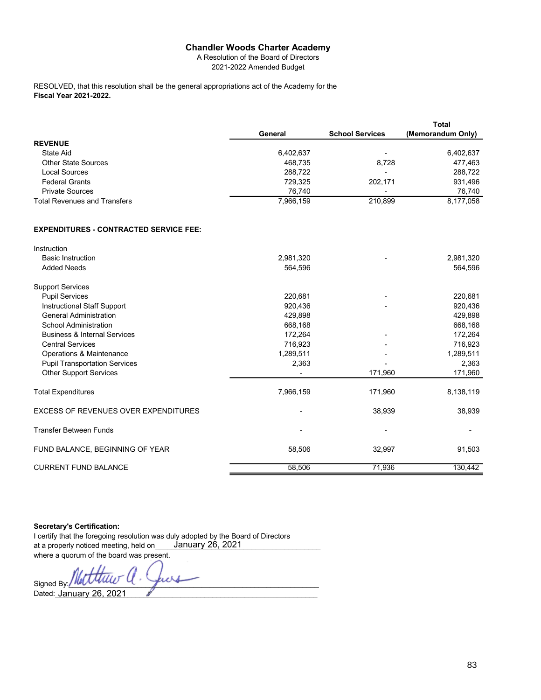## Chandler Woods Charter Academy

|                                                                                               | <b>Chandler Woods Charter Academy</b>  |                          |                     |
|-----------------------------------------------------------------------------------------------|----------------------------------------|--------------------------|---------------------|
|                                                                                               | A Resolution of the Board of Directors |                          |                     |
|                                                                                               | 2021-2022 Amended Budget               |                          |                     |
| RESOLVED, that this resolution shall be the general appropriations act of the Academy for the |                                        |                          |                     |
| <b>Fiscal Year 2021-2022.</b>                                                                 |                                        |                          |                     |
|                                                                                               |                                        |                          |                     |
|                                                                                               |                                        |                          |                     |
|                                                                                               |                                        |                          |                     |
|                                                                                               | General                                | <b>School Services</b>   | <b>Total</b>        |
| <b>REVENUE</b>                                                                                |                                        |                          | (Memorandum Only)   |
| <b>State Aid</b>                                                                              | 6,402,637                              | $\overline{a}$           | 6,402,637           |
| <b>Other State Sources</b>                                                                    | 468,735                                | 8,728                    | 477,463             |
| <b>Local Sources</b>                                                                          | 288,722                                | $\overline{\phantom{a}}$ | 288,722             |
| <b>Federal Grants</b>                                                                         | 729,325                                | 202,171                  | 931,496             |
| <b>Private Sources</b>                                                                        | 76,740<br>7,966,159                    | $\overline{a}$           | 76,740<br>8,177,058 |

## EXPENDITURES - CONTRACTED SERVICE FEE:

| Instruction                             |           |                          |           |
|-----------------------------------------|-----------|--------------------------|-----------|
| <b>Basic Instruction</b>                | 2,981,320 |                          | 2,981,320 |
| <b>Added Needs</b>                      | 564,596   |                          | 564,596   |
| <b>Support Services</b>                 |           |                          |           |
| <b>Pupil Services</b>                   | 220,681   | $\overline{\phantom{0}}$ | 220,681   |
| Instructional Staff Support             | 920,436   |                          | 920,436   |
| <b>General Administration</b>           | 429,898   |                          | 429,898   |
| <b>School Administration</b>            | 668,168   |                          | 668,168   |
| <b>Business &amp; Internal Services</b> | 172,264   |                          | 172,264   |
| <b>Central Services</b>                 | 716,923   |                          | 716,923   |
| Operations & Maintenance                | 1,289,511 |                          | 1,289,511 |
| <b>Pupil Transportation Services</b>    | 2,363     |                          | 2,363     |
| <b>Other Support Services</b>           |           | 171,960                  | 171,960   |
| <b>Total Expenditures</b>               | 7,966,159 | 171,960                  | 8,138,119 |
| EXCESS OF REVENUES OVER EXPENDITURES    |           | 38,939                   | 38,939    |
| <b>Transfer Between Funds</b>           |           |                          | ٠         |
| FUND BALANCE, BEGINNING OF YEAR         | 58,506    | 32,997                   | 91,503    |
| <b>CURRENT FUND BALANCE</b>             | 58,506    | 71,936                   | 130,442   |

Secretary's Certification:

I certify that the foregoing resolution was duly adopted by the Board of Directors at a properly noticed meeting, held on\_\_\_\_\_**January** 26, 2021 \_\_\_\_\_\_\_\_\_\_\_\_\_\_\_\_\_\_\_\_\_\_\_\_\_ where a quorum of the board was present.

 $Signed By: MQV-Value \sim 1$ Dated:\_\_\_\_\_\_\_\_\_\_\_\_\_\_\_\_\_\_\_\_\_\_\_\_\_\_\_\_\_\_\_\_\_\_\_\_\_\_\_\_\_\_\_\_\_\_\_\_\_\_\_\_\_\_\_\_\_\_\_\_\_\_\_\_\_ January 26, 2021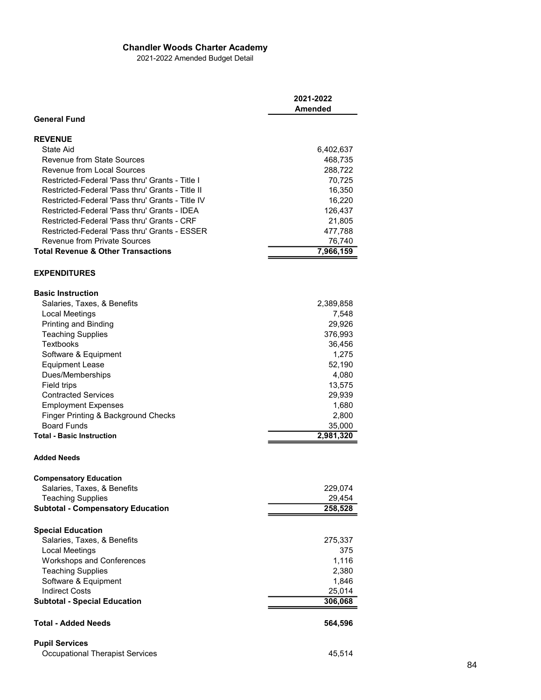## Chandler Woods Charter Academy

| <b>Chandler Woods Charter Academy</b><br>2021-2022 Amended Budget Detail<br>2021-2022<br><b>Amended</b><br><b>General Fund</b><br><b>REVENUE</b><br><b>State Aid</b><br>6,402,637<br><b>Revenue from State Sources</b><br>468,735<br>Revenue from Local Sources<br>288,722<br>Restricted-Federal 'Pass thru' Grants - Title I<br>70,725<br>Restricted-Federal 'Pass thru' Grants - Title II<br>16,350<br>Restricted-Federal 'Pass thru' Grants - Title IV<br>16,220<br>Restricted-Federal 'Pass thru' Grants - IDEA<br>126,437<br>Restricted-Federal 'Pass thru' Grants - CRF<br>21,805<br>Restricted-Federal 'Pass thru' Grants - ESSER<br>477,788<br><b>Revenue from Private Sources</b><br>76,740<br><b>Total Revenue &amp; Other Transactions</b><br>7,966,159<br><b>EXPENDITURES</b><br><b>Basic Instruction</b><br>Salaries, Taxes, & Benefits<br>2,389,858<br>7,548<br>Local Meetings<br>Printing and Binding<br>29,926<br>376,993<br><b>Teaching Supplies</b><br>Textbooks<br>36,456<br>Software & Equipment<br>1,275<br><b>Equipment Lease</b><br>52,190<br>Dues/Memberships<br>4,080<br>Field trips<br>13,575<br><b>Contracted Services</b><br>29,939<br>1,680<br><b>Employment Expenses</b><br>Finger Printing & Background Checks<br>2,800<br><b>Board Funds</b><br>35,000<br>2,981,320<br><b>Total - Basic Instruction</b><br><b>Added Needs</b><br><b>Compensatory Education</b><br>Salaries, Taxes, & Benefits<br>229,074<br><b>Teaching Supplies</b><br>29,454<br><b>Subtotal - Compensatory Education</b><br>258,528<br><b>Special Education</b><br>Salaries, Taxes, & Benefits<br>275,337<br>375<br>Local Meetings<br>Workshops and Conferences<br>1,116<br><b>Teaching Supplies</b><br>2,380<br>Software & Equipment<br>1,846<br><b>Indirect Costs</b><br>25,014<br><b>Subtotal - Special Education</b><br>306,068<br>564,596<br><b>Total - Added Needs</b><br><b>Pupil Services</b><br>45,514<br><b>Occupational Therapist Services</b> |  |  |
|-------------------------------------------------------------------------------------------------------------------------------------------------------------------------------------------------------------------------------------------------------------------------------------------------------------------------------------------------------------------------------------------------------------------------------------------------------------------------------------------------------------------------------------------------------------------------------------------------------------------------------------------------------------------------------------------------------------------------------------------------------------------------------------------------------------------------------------------------------------------------------------------------------------------------------------------------------------------------------------------------------------------------------------------------------------------------------------------------------------------------------------------------------------------------------------------------------------------------------------------------------------------------------------------------------------------------------------------------------------------------------------------------------------------------------------------------------------------------------------------------------------------------------------------------------------------------------------------------------------------------------------------------------------------------------------------------------------------------------------------------------------------------------------------------------------------------------------------------------------------------------------------------------------------------------------------------------------|--|--|
|                                                                                                                                                                                                                                                                                                                                                                                                                                                                                                                                                                                                                                                                                                                                                                                                                                                                                                                                                                                                                                                                                                                                                                                                                                                                                                                                                                                                                                                                                                                                                                                                                                                                                                                                                                                                                                                                                                                                                             |  |  |
|                                                                                                                                                                                                                                                                                                                                                                                                                                                                                                                                                                                                                                                                                                                                                                                                                                                                                                                                                                                                                                                                                                                                                                                                                                                                                                                                                                                                                                                                                                                                                                                                                                                                                                                                                                                                                                                                                                                                                             |  |  |
|                                                                                                                                                                                                                                                                                                                                                                                                                                                                                                                                                                                                                                                                                                                                                                                                                                                                                                                                                                                                                                                                                                                                                                                                                                                                                                                                                                                                                                                                                                                                                                                                                                                                                                                                                                                                                                                                                                                                                             |  |  |
| 84                                                                                                                                                                                                                                                                                                                                                                                                                                                                                                                                                                                                                                                                                                                                                                                                                                                                                                                                                                                                                                                                                                                                                                                                                                                                                                                                                                                                                                                                                                                                                                                                                                                                                                                                                                                                                                                                                                                                                          |  |  |
|                                                                                                                                                                                                                                                                                                                                                                                                                                                                                                                                                                                                                                                                                                                                                                                                                                                                                                                                                                                                                                                                                                                                                                                                                                                                                                                                                                                                                                                                                                                                                                                                                                                                                                                                                                                                                                                                                                                                                             |  |  |
|                                                                                                                                                                                                                                                                                                                                                                                                                                                                                                                                                                                                                                                                                                                                                                                                                                                                                                                                                                                                                                                                                                                                                                                                                                                                                                                                                                                                                                                                                                                                                                                                                                                                                                                                                                                                                                                                                                                                                             |  |  |
|                                                                                                                                                                                                                                                                                                                                                                                                                                                                                                                                                                                                                                                                                                                                                                                                                                                                                                                                                                                                                                                                                                                                                                                                                                                                                                                                                                                                                                                                                                                                                                                                                                                                                                                                                                                                                                                                                                                                                             |  |  |
|                                                                                                                                                                                                                                                                                                                                                                                                                                                                                                                                                                                                                                                                                                                                                                                                                                                                                                                                                                                                                                                                                                                                                                                                                                                                                                                                                                                                                                                                                                                                                                                                                                                                                                                                                                                                                                                                                                                                                             |  |  |
|                                                                                                                                                                                                                                                                                                                                                                                                                                                                                                                                                                                                                                                                                                                                                                                                                                                                                                                                                                                                                                                                                                                                                                                                                                                                                                                                                                                                                                                                                                                                                                                                                                                                                                                                                                                                                                                                                                                                                             |  |  |
|                                                                                                                                                                                                                                                                                                                                                                                                                                                                                                                                                                                                                                                                                                                                                                                                                                                                                                                                                                                                                                                                                                                                                                                                                                                                                                                                                                                                                                                                                                                                                                                                                                                                                                                                                                                                                                                                                                                                                             |  |  |
|                                                                                                                                                                                                                                                                                                                                                                                                                                                                                                                                                                                                                                                                                                                                                                                                                                                                                                                                                                                                                                                                                                                                                                                                                                                                                                                                                                                                                                                                                                                                                                                                                                                                                                                                                                                                                                                                                                                                                             |  |  |
|                                                                                                                                                                                                                                                                                                                                                                                                                                                                                                                                                                                                                                                                                                                                                                                                                                                                                                                                                                                                                                                                                                                                                                                                                                                                                                                                                                                                                                                                                                                                                                                                                                                                                                                                                                                                                                                                                                                                                             |  |  |
|                                                                                                                                                                                                                                                                                                                                                                                                                                                                                                                                                                                                                                                                                                                                                                                                                                                                                                                                                                                                                                                                                                                                                                                                                                                                                                                                                                                                                                                                                                                                                                                                                                                                                                                                                                                                                                                                                                                                                             |  |  |
|                                                                                                                                                                                                                                                                                                                                                                                                                                                                                                                                                                                                                                                                                                                                                                                                                                                                                                                                                                                                                                                                                                                                                                                                                                                                                                                                                                                                                                                                                                                                                                                                                                                                                                                                                                                                                                                                                                                                                             |  |  |
|                                                                                                                                                                                                                                                                                                                                                                                                                                                                                                                                                                                                                                                                                                                                                                                                                                                                                                                                                                                                                                                                                                                                                                                                                                                                                                                                                                                                                                                                                                                                                                                                                                                                                                                                                                                                                                                                                                                                                             |  |  |
|                                                                                                                                                                                                                                                                                                                                                                                                                                                                                                                                                                                                                                                                                                                                                                                                                                                                                                                                                                                                                                                                                                                                                                                                                                                                                                                                                                                                                                                                                                                                                                                                                                                                                                                                                                                                                                                                                                                                                             |  |  |
|                                                                                                                                                                                                                                                                                                                                                                                                                                                                                                                                                                                                                                                                                                                                                                                                                                                                                                                                                                                                                                                                                                                                                                                                                                                                                                                                                                                                                                                                                                                                                                                                                                                                                                                                                                                                                                                                                                                                                             |  |  |
|                                                                                                                                                                                                                                                                                                                                                                                                                                                                                                                                                                                                                                                                                                                                                                                                                                                                                                                                                                                                                                                                                                                                                                                                                                                                                                                                                                                                                                                                                                                                                                                                                                                                                                                                                                                                                                                                                                                                                             |  |  |
|                                                                                                                                                                                                                                                                                                                                                                                                                                                                                                                                                                                                                                                                                                                                                                                                                                                                                                                                                                                                                                                                                                                                                                                                                                                                                                                                                                                                                                                                                                                                                                                                                                                                                                                                                                                                                                                                                                                                                             |  |  |
|                                                                                                                                                                                                                                                                                                                                                                                                                                                                                                                                                                                                                                                                                                                                                                                                                                                                                                                                                                                                                                                                                                                                                                                                                                                                                                                                                                                                                                                                                                                                                                                                                                                                                                                                                                                                                                                                                                                                                             |  |  |
|                                                                                                                                                                                                                                                                                                                                                                                                                                                                                                                                                                                                                                                                                                                                                                                                                                                                                                                                                                                                                                                                                                                                                                                                                                                                                                                                                                                                                                                                                                                                                                                                                                                                                                                                                                                                                                                                                                                                                             |  |  |
|                                                                                                                                                                                                                                                                                                                                                                                                                                                                                                                                                                                                                                                                                                                                                                                                                                                                                                                                                                                                                                                                                                                                                                                                                                                                                                                                                                                                                                                                                                                                                                                                                                                                                                                                                                                                                                                                                                                                                             |  |  |
|                                                                                                                                                                                                                                                                                                                                                                                                                                                                                                                                                                                                                                                                                                                                                                                                                                                                                                                                                                                                                                                                                                                                                                                                                                                                                                                                                                                                                                                                                                                                                                                                                                                                                                                                                                                                                                                                                                                                                             |  |  |
|                                                                                                                                                                                                                                                                                                                                                                                                                                                                                                                                                                                                                                                                                                                                                                                                                                                                                                                                                                                                                                                                                                                                                                                                                                                                                                                                                                                                                                                                                                                                                                                                                                                                                                                                                                                                                                                                                                                                                             |  |  |
|                                                                                                                                                                                                                                                                                                                                                                                                                                                                                                                                                                                                                                                                                                                                                                                                                                                                                                                                                                                                                                                                                                                                                                                                                                                                                                                                                                                                                                                                                                                                                                                                                                                                                                                                                                                                                                                                                                                                                             |  |  |
|                                                                                                                                                                                                                                                                                                                                                                                                                                                                                                                                                                                                                                                                                                                                                                                                                                                                                                                                                                                                                                                                                                                                                                                                                                                                                                                                                                                                                                                                                                                                                                                                                                                                                                                                                                                                                                                                                                                                                             |  |  |
|                                                                                                                                                                                                                                                                                                                                                                                                                                                                                                                                                                                                                                                                                                                                                                                                                                                                                                                                                                                                                                                                                                                                                                                                                                                                                                                                                                                                                                                                                                                                                                                                                                                                                                                                                                                                                                                                                                                                                             |  |  |
|                                                                                                                                                                                                                                                                                                                                                                                                                                                                                                                                                                                                                                                                                                                                                                                                                                                                                                                                                                                                                                                                                                                                                                                                                                                                                                                                                                                                                                                                                                                                                                                                                                                                                                                                                                                                                                                                                                                                                             |  |  |
|                                                                                                                                                                                                                                                                                                                                                                                                                                                                                                                                                                                                                                                                                                                                                                                                                                                                                                                                                                                                                                                                                                                                                                                                                                                                                                                                                                                                                                                                                                                                                                                                                                                                                                                                                                                                                                                                                                                                                             |  |  |
|                                                                                                                                                                                                                                                                                                                                                                                                                                                                                                                                                                                                                                                                                                                                                                                                                                                                                                                                                                                                                                                                                                                                                                                                                                                                                                                                                                                                                                                                                                                                                                                                                                                                                                                                                                                                                                                                                                                                                             |  |  |
|                                                                                                                                                                                                                                                                                                                                                                                                                                                                                                                                                                                                                                                                                                                                                                                                                                                                                                                                                                                                                                                                                                                                                                                                                                                                                                                                                                                                                                                                                                                                                                                                                                                                                                                                                                                                                                                                                                                                                             |  |  |
|                                                                                                                                                                                                                                                                                                                                                                                                                                                                                                                                                                                                                                                                                                                                                                                                                                                                                                                                                                                                                                                                                                                                                                                                                                                                                                                                                                                                                                                                                                                                                                                                                                                                                                                                                                                                                                                                                                                                                             |  |  |
|                                                                                                                                                                                                                                                                                                                                                                                                                                                                                                                                                                                                                                                                                                                                                                                                                                                                                                                                                                                                                                                                                                                                                                                                                                                                                                                                                                                                                                                                                                                                                                                                                                                                                                                                                                                                                                                                                                                                                             |  |  |
|                                                                                                                                                                                                                                                                                                                                                                                                                                                                                                                                                                                                                                                                                                                                                                                                                                                                                                                                                                                                                                                                                                                                                                                                                                                                                                                                                                                                                                                                                                                                                                                                                                                                                                                                                                                                                                                                                                                                                             |  |  |
|                                                                                                                                                                                                                                                                                                                                                                                                                                                                                                                                                                                                                                                                                                                                                                                                                                                                                                                                                                                                                                                                                                                                                                                                                                                                                                                                                                                                                                                                                                                                                                                                                                                                                                                                                                                                                                                                                                                                                             |  |  |
|                                                                                                                                                                                                                                                                                                                                                                                                                                                                                                                                                                                                                                                                                                                                                                                                                                                                                                                                                                                                                                                                                                                                                                                                                                                                                                                                                                                                                                                                                                                                                                                                                                                                                                                                                                                                                                                                                                                                                             |  |  |
|                                                                                                                                                                                                                                                                                                                                                                                                                                                                                                                                                                                                                                                                                                                                                                                                                                                                                                                                                                                                                                                                                                                                                                                                                                                                                                                                                                                                                                                                                                                                                                                                                                                                                                                                                                                                                                                                                                                                                             |  |  |
|                                                                                                                                                                                                                                                                                                                                                                                                                                                                                                                                                                                                                                                                                                                                                                                                                                                                                                                                                                                                                                                                                                                                                                                                                                                                                                                                                                                                                                                                                                                                                                                                                                                                                                                                                                                                                                                                                                                                                             |  |  |
|                                                                                                                                                                                                                                                                                                                                                                                                                                                                                                                                                                                                                                                                                                                                                                                                                                                                                                                                                                                                                                                                                                                                                                                                                                                                                                                                                                                                                                                                                                                                                                                                                                                                                                                                                                                                                                                                                                                                                             |  |  |
|                                                                                                                                                                                                                                                                                                                                                                                                                                                                                                                                                                                                                                                                                                                                                                                                                                                                                                                                                                                                                                                                                                                                                                                                                                                                                                                                                                                                                                                                                                                                                                                                                                                                                                                                                                                                                                                                                                                                                             |  |  |
|                                                                                                                                                                                                                                                                                                                                                                                                                                                                                                                                                                                                                                                                                                                                                                                                                                                                                                                                                                                                                                                                                                                                                                                                                                                                                                                                                                                                                                                                                                                                                                                                                                                                                                                                                                                                                                                                                                                                                             |  |  |
|                                                                                                                                                                                                                                                                                                                                                                                                                                                                                                                                                                                                                                                                                                                                                                                                                                                                                                                                                                                                                                                                                                                                                                                                                                                                                                                                                                                                                                                                                                                                                                                                                                                                                                                                                                                                                                                                                                                                                             |  |  |
|                                                                                                                                                                                                                                                                                                                                                                                                                                                                                                                                                                                                                                                                                                                                                                                                                                                                                                                                                                                                                                                                                                                                                                                                                                                                                                                                                                                                                                                                                                                                                                                                                                                                                                                                                                                                                                                                                                                                                             |  |  |
|                                                                                                                                                                                                                                                                                                                                                                                                                                                                                                                                                                                                                                                                                                                                                                                                                                                                                                                                                                                                                                                                                                                                                                                                                                                                                                                                                                                                                                                                                                                                                                                                                                                                                                                                                                                                                                                                                                                                                             |  |  |
|                                                                                                                                                                                                                                                                                                                                                                                                                                                                                                                                                                                                                                                                                                                                                                                                                                                                                                                                                                                                                                                                                                                                                                                                                                                                                                                                                                                                                                                                                                                                                                                                                                                                                                                                                                                                                                                                                                                                                             |  |  |
|                                                                                                                                                                                                                                                                                                                                                                                                                                                                                                                                                                                                                                                                                                                                                                                                                                                                                                                                                                                                                                                                                                                                                                                                                                                                                                                                                                                                                                                                                                                                                                                                                                                                                                                                                                                                                                                                                                                                                             |  |  |
|                                                                                                                                                                                                                                                                                                                                                                                                                                                                                                                                                                                                                                                                                                                                                                                                                                                                                                                                                                                                                                                                                                                                                                                                                                                                                                                                                                                                                                                                                                                                                                                                                                                                                                                                                                                                                                                                                                                                                             |  |  |
|                                                                                                                                                                                                                                                                                                                                                                                                                                                                                                                                                                                                                                                                                                                                                                                                                                                                                                                                                                                                                                                                                                                                                                                                                                                                                                                                                                                                                                                                                                                                                                                                                                                                                                                                                                                                                                                                                                                                                             |  |  |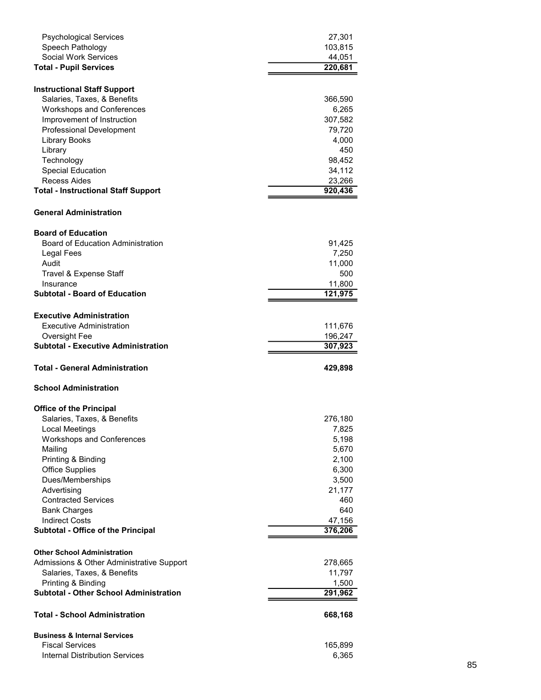| <b>Psychological Services</b><br>Speech Pathology                        | 27,301<br>103,815  |    |  |
|--------------------------------------------------------------------------|--------------------|----|--|
| Social Work Services<br><b>Total - Pupil Services</b>                    | 44,051<br>220,681  |    |  |
| <b>Instructional Staff Support</b>                                       |                    |    |  |
| Salaries, Taxes, & Benefits<br>Workshops and Conferences                 | 366,590<br>6,265   |    |  |
| Improvement of Instruction<br>Professional Development                   | 307,582<br>79,720  |    |  |
| <b>Library Books</b><br>Library                                          | 4,000<br>450       |    |  |
| Technology<br><b>Special Education</b>                                   | 98,452<br>34,112   |    |  |
| Recess Aides<br><b>Total - Instructional Staff Support</b>               | 23,266<br>920,436  |    |  |
| <b>General Administration</b>                                            |                    |    |  |
| <b>Board of Education</b>                                                |                    |    |  |
| <b>Board of Education Administration</b><br>Legal Fees                   | 91,425<br>7,250    |    |  |
| Audit<br>Travel & Expense Staff                                          | 11,000<br>500      |    |  |
| Insurance<br><b>Subtotal - Board of Education</b>                        | 11,800<br>121,975  |    |  |
| <b>Executive Administration</b>                                          |                    |    |  |
| <b>Executive Administration</b><br>Oversight Fee                         | 111,676<br>196,247 |    |  |
| <b>Subtotal - Executive Administration</b>                               | 307,923            |    |  |
| <b>Total - General Administration</b><br><b>School Administration</b>    | 429,898            |    |  |
| <b>Office of the Principal</b>                                           |                    |    |  |
| Salaries, Taxes, & Benefits<br><b>Local Meetings</b>                     | 276,180<br>7,825   |    |  |
| Workshops and Conferences<br>Mailing                                     | 5,198<br>5,670     |    |  |
| Printing & Binding<br><b>Office Supplies</b>                             | 2,100<br>6,300     |    |  |
| Dues/Memberships<br>Advertising                                          | 3,500<br>21,177    |    |  |
| <b>Contracted Services</b><br><b>Bank Charges</b>                        | 460<br>640         |    |  |
| <b>Indirect Costs</b><br>Subtotal - Office of the Principal              | 47,156<br>376,206  |    |  |
| <b>Other School Administration</b>                                       |                    |    |  |
| Admissions & Other Administrative Support<br>Salaries, Taxes, & Benefits | 278,665<br>11,797  |    |  |
| Printing & Binding<br><b>Subtotal - Other School Administration</b>      | 1,500<br>291,962   |    |  |
| <b>Total - School Administration</b>                                     | 668,168            |    |  |
| <b>Business &amp; Internal Services</b><br><b>Fiscal Services</b>        | 165,899            |    |  |
| <b>Internal Distribution Services</b>                                    | 6,365              | 85 |  |
|                                                                          |                    |    |  |
|                                                                          |                    |    |  |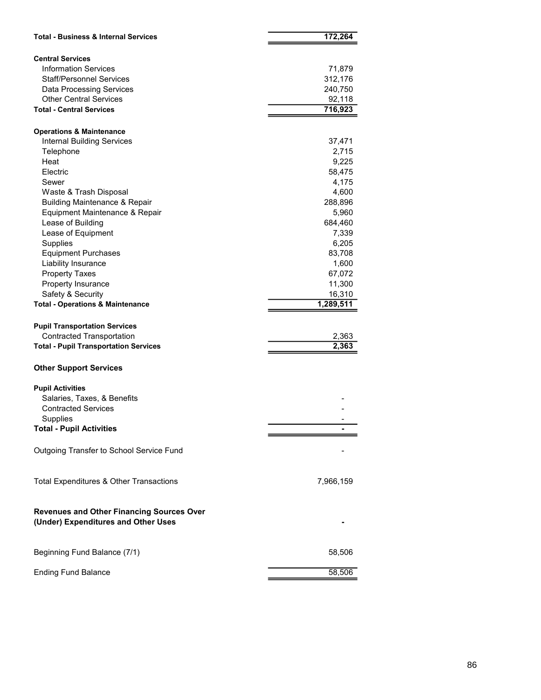| <b>Total - Business &amp; Internal Services</b><br><b>Central Services</b><br><b>Information Services</b><br><b>Staff/Personnel Services</b><br>Data Processing Services<br><b>Other Central Services</b><br><b>Total - Central Services</b><br><b>Operations &amp; Maintenance</b><br><b>Internal Building Services</b><br>Telephone<br>Heat<br>Electric<br>Sewer<br>Waste & Trash Disposal<br><b>Building Maintenance &amp; Repair</b><br>Equipment Maintenance & Repair<br>Lease of Building<br>Lease of Equipment | 172,264<br>71,879<br>312,176<br>240,750<br>92,118<br>716,923<br>37,471<br>2,715<br>9,225<br>58,475 |
|-----------------------------------------------------------------------------------------------------------------------------------------------------------------------------------------------------------------------------------------------------------------------------------------------------------------------------------------------------------------------------------------------------------------------------------------------------------------------------------------------------------------------|----------------------------------------------------------------------------------------------------|
|                                                                                                                                                                                                                                                                                                                                                                                                                                                                                                                       |                                                                                                    |
|                                                                                                                                                                                                                                                                                                                                                                                                                                                                                                                       |                                                                                                    |
|                                                                                                                                                                                                                                                                                                                                                                                                                                                                                                                       |                                                                                                    |
|                                                                                                                                                                                                                                                                                                                                                                                                                                                                                                                       |                                                                                                    |
|                                                                                                                                                                                                                                                                                                                                                                                                                                                                                                                       |                                                                                                    |
|                                                                                                                                                                                                                                                                                                                                                                                                                                                                                                                       |                                                                                                    |
|                                                                                                                                                                                                                                                                                                                                                                                                                                                                                                                       |                                                                                                    |
|                                                                                                                                                                                                                                                                                                                                                                                                                                                                                                                       |                                                                                                    |
|                                                                                                                                                                                                                                                                                                                                                                                                                                                                                                                       |                                                                                                    |
|                                                                                                                                                                                                                                                                                                                                                                                                                                                                                                                       |                                                                                                    |
|                                                                                                                                                                                                                                                                                                                                                                                                                                                                                                                       |                                                                                                    |
|                                                                                                                                                                                                                                                                                                                                                                                                                                                                                                                       |                                                                                                    |
|                                                                                                                                                                                                                                                                                                                                                                                                                                                                                                                       |                                                                                                    |
|                                                                                                                                                                                                                                                                                                                                                                                                                                                                                                                       | 4,175                                                                                              |
|                                                                                                                                                                                                                                                                                                                                                                                                                                                                                                                       | 4,600                                                                                              |
|                                                                                                                                                                                                                                                                                                                                                                                                                                                                                                                       | 288,896                                                                                            |
|                                                                                                                                                                                                                                                                                                                                                                                                                                                                                                                       | 5,960                                                                                              |
|                                                                                                                                                                                                                                                                                                                                                                                                                                                                                                                       | 684,460                                                                                            |
|                                                                                                                                                                                                                                                                                                                                                                                                                                                                                                                       | 7,339                                                                                              |
| Supplies<br><b>Equipment Purchases</b>                                                                                                                                                                                                                                                                                                                                                                                                                                                                                | 6,205<br>83,708                                                                                    |
| Liability Insurance                                                                                                                                                                                                                                                                                                                                                                                                                                                                                                   | 1,600                                                                                              |
| <b>Property Taxes</b>                                                                                                                                                                                                                                                                                                                                                                                                                                                                                                 | 67,072                                                                                             |
| Property Insurance                                                                                                                                                                                                                                                                                                                                                                                                                                                                                                    | 11,300                                                                                             |
| Safety & Security                                                                                                                                                                                                                                                                                                                                                                                                                                                                                                     | 16,310                                                                                             |
| <b>Total - Operations &amp; Maintenance</b>                                                                                                                                                                                                                                                                                                                                                                                                                                                                           | 1,289,511                                                                                          |
| <b>Pupil Transportation Services</b>                                                                                                                                                                                                                                                                                                                                                                                                                                                                                  |                                                                                                    |
| <b>Contracted Transportation</b><br><b>Total - Pupil Transportation Services</b>                                                                                                                                                                                                                                                                                                                                                                                                                                      | 2,363<br>2,363                                                                                     |
|                                                                                                                                                                                                                                                                                                                                                                                                                                                                                                                       |                                                                                                    |
| <b>Other Support Services</b>                                                                                                                                                                                                                                                                                                                                                                                                                                                                                         |                                                                                                    |
| <b>Pupil Activities</b>                                                                                                                                                                                                                                                                                                                                                                                                                                                                                               |                                                                                                    |
| Salaries, Taxes, & Benefits                                                                                                                                                                                                                                                                                                                                                                                                                                                                                           |                                                                                                    |
| <b>Contracted Services</b>                                                                                                                                                                                                                                                                                                                                                                                                                                                                                            |                                                                                                    |
| Supplies<br><b>Total - Pupil Activities</b>                                                                                                                                                                                                                                                                                                                                                                                                                                                                           |                                                                                                    |
| Outgoing Transfer to School Service Fund                                                                                                                                                                                                                                                                                                                                                                                                                                                                              |                                                                                                    |
|                                                                                                                                                                                                                                                                                                                                                                                                                                                                                                                       |                                                                                                    |
| Total Expenditures & Other Transactions                                                                                                                                                                                                                                                                                                                                                                                                                                                                               | 7,966,159                                                                                          |
| <b>Revenues and Other Financing Sources Over</b>                                                                                                                                                                                                                                                                                                                                                                                                                                                                      |                                                                                                    |
| (Under) Expenditures and Other Uses                                                                                                                                                                                                                                                                                                                                                                                                                                                                                   |                                                                                                    |
|                                                                                                                                                                                                                                                                                                                                                                                                                                                                                                                       |                                                                                                    |
| Beginning Fund Balance (7/1)                                                                                                                                                                                                                                                                                                                                                                                                                                                                                          | 58,506                                                                                             |
| <b>Ending Fund Balance</b>                                                                                                                                                                                                                                                                                                                                                                                                                                                                                            | 58,506                                                                                             |